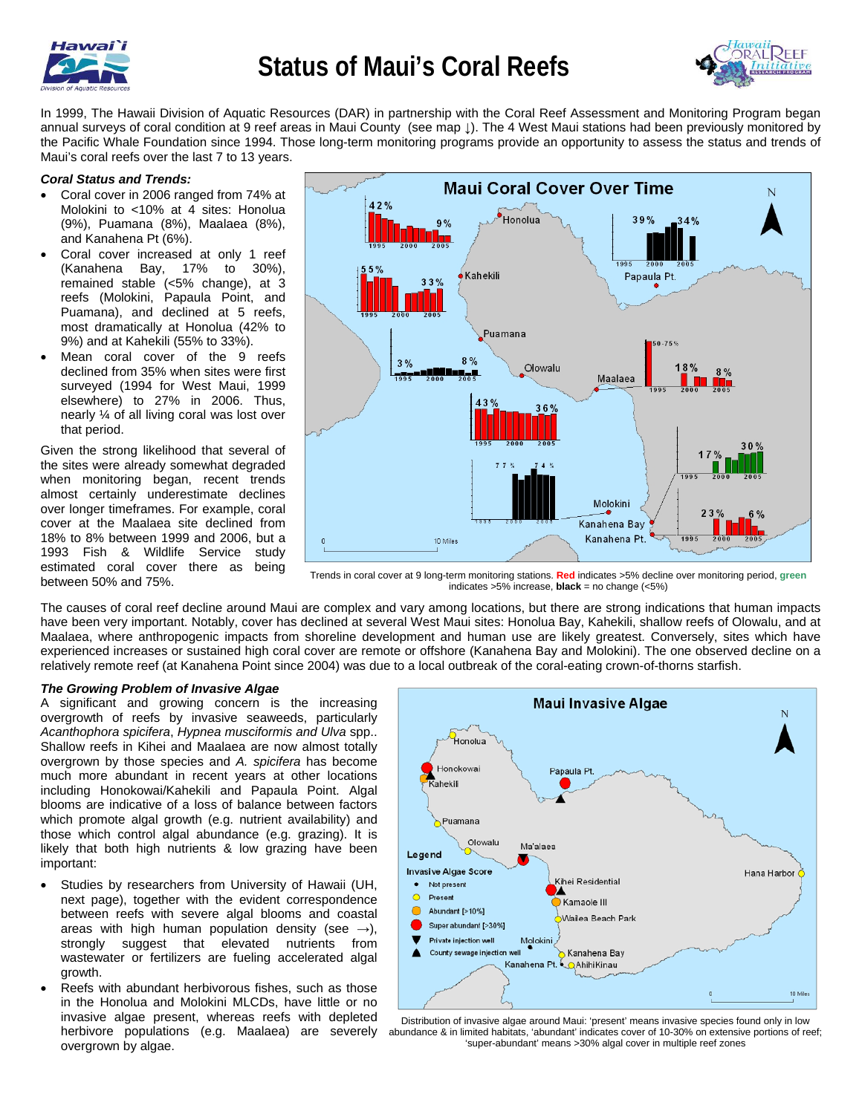



In 1999, The Hawaii Division of Aquatic Resources (DAR) in partnership with the Coral Reef Assessment and Monitoring Program began annual surveys of coral condition at 9 reef areas in Maui County (see map ↓). The 4 West Maui stations had been previously monitored by the Pacific Whale Foundation since 1994. Those long-term monitoring programs provide an opportunity to assess the status and trends of Maui's coral reefs over the last 7 to 13 years.

## *Coral Status and Trends:*

- Coral cover in 2006 ranged from 74% at Molokini to <10% at 4 sites: Honolua (9%), Puamana (8%), Maalaea (8%), and Kanahena Pt (6%).
- Coral cover increased at only 1 reef (Kanahena Bay, 17% to 30%), remained stable (<5% change), at 3 reefs (Molokini, Papaula Point, and Puamana), and declined at 5 reefs, most dramatically at Honolua (42% to 9%) and at Kahekili (55% to 33%).
- Mean coral cover of the 9 reefs declined from 35% when sites were first surveyed (1994 for West Maui, 1999 elsewhere) to 27% in 2006. Thus, nearly ¼ of all living coral was lost over that period.

Given the strong likelihood that several of the sites were already somewhat degraded when monitoring began, recent trends almost certainly underestimate declines over longer timeframes. For example, coral cover at the Maalaea site declined from 18% to 8% between 1999 and 2006, but a 1993 Fish & Wildlife Service study estimated coral cover there as being



between 50% and 75%. Trends in coral cover at 9 long-term monitoring stations. **Red** indicates >5% decline over monitoring period, **green** indicates >5% increase, **black** = no change (<5%)

The causes of coral reef decline around Maui are complex and vary among locations, but there are strong indications that human impacts have been very important. Notably, cover has declined at several West Maui sites: Honolua Bay, Kahekili, shallow reefs of Olowalu, and at Maalaea, where anthropogenic impacts from shoreline development and human use are likely greatest. Conversely, sites which have experienced increases or sustained high coral cover are remote or offshore (Kanahena Bay and Molokini). The one observed decline on a relatively remote reef (at Kanahena Point since 2004) was due to a local outbreak of the coral-eating crown-of-thorns starfish.

### *The Growing Problem of Invasive Algae*

A significant and growing concern is the increasing overgrowth of reefs by invasive seaweeds, particularly *Acanthophora spicifera*, *Hypnea musciformis and Ulva* spp.. Shallow reefs in Kihei and Maalaea are now almost totally overgrown by those species and *A. spicifera* has become much more abundant in recent years at other locations including Honokowai/Kahekili and Papaula Point. Algal blooms are indicative of a loss of balance between factors which promote algal growth (e.g. nutrient availability) and those which control algal abundance (e.g. grazing). It is likely that both high nutrients & low grazing have been important:

- Studies by researchers from University of Hawaii (UH, next page), together with the evident correspondence between reefs with severe algal blooms and coastal areas with high human population density (see  $\rightarrow$ ), strongly suggest that elevated nutrients from wastewater or fertilizers are fueling accelerated algal growth.
- Reefs with abundant herbivorous fishes, such as those in the Honolua and Molokini MLCDs, have little or no invasive algae present, whereas reefs with depleted herbivore populations (e.g. Maalaea) are severely overgrown by algae.



Distribution of invasive algae around Maui: 'present' means invasive species found only in low abundance & in limited habitats, 'abundant' indicates cover of 10-30% on extensive portions of reef; 'super-abundant' means >30% algal cover in multiple reef zones